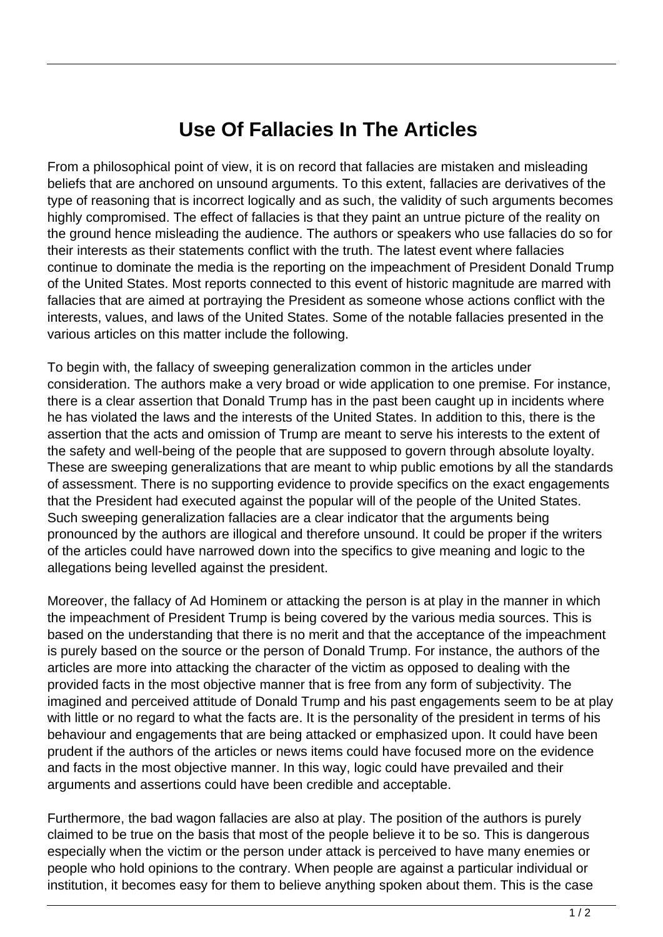## **Use Of Fallacies In The Articles**

From a philosophical point of view, it is on record that fallacies are mistaken and misleading beliefs that are anchored on unsound arguments. To this extent, fallacies are derivatives of the type of reasoning that is incorrect logically and as such, the validity of such arguments becomes highly compromised. The effect of fallacies is that they paint an untrue picture of the reality on the ground hence misleading the audience. The authors or speakers who use fallacies do so for their interests as their statements conflict with the truth. The latest event where fallacies continue to dominate the media is the reporting on the impeachment of President Donald Trump of the United States. Most reports connected to this event of historic magnitude are marred with fallacies that are aimed at portraying the President as someone whose actions conflict with the interests, values, and laws of the United States. Some of the notable fallacies presented in the various articles on this matter include the following.

To begin with, the fallacy of sweeping generalization common in the articles under consideration. The authors make a very broad or wide application to one premise. For instance, there is a clear assertion that Donald Trump has in the past been caught up in incidents where he has violated the laws and the interests of the United States. In addition to this, there is the assertion that the acts and omission of Trump are meant to serve his interests to the extent of the safety and well-being of the people that are supposed to govern through absolute loyalty. These are sweeping generalizations that are meant to whip public emotions by all the standards of assessment. There is no supporting evidence to provide specifics on the exact engagements that the President had executed against the popular will of the people of the United States. Such sweeping generalization fallacies are a clear indicator that the arguments being pronounced by the authors are illogical and therefore unsound. It could be proper if the writers of the articles could have narrowed down into the specifics to give meaning and logic to the allegations being levelled against the president.

Moreover, the fallacy of Ad Hominem or attacking the person is at play in the manner in which the impeachment of President Trump is being covered by the various media sources. This is based on the understanding that there is no merit and that the acceptance of the impeachment is purely based on the source or the person of Donald Trump. For instance, the authors of the articles are more into attacking the character of the victim as opposed to dealing with the provided facts in the most objective manner that is free from any form of subjectivity. The imagined and perceived attitude of Donald Trump and his past engagements seem to be at play with little or no regard to what the facts are. It is the personality of the president in terms of his behaviour and engagements that are being attacked or emphasized upon. It could have been prudent if the authors of the articles or news items could have focused more on the evidence and facts in the most objective manner. In this way, logic could have prevailed and their arguments and assertions could have been credible and acceptable.

Furthermore, the bad wagon fallacies are also at play. The position of the authors is purely claimed to be true on the basis that most of the people believe it to be so. This is dangerous especially when the victim or the person under attack is perceived to have many enemies or people who hold opinions to the contrary. When people are against a particular individual or institution, it becomes easy for them to believe anything spoken about them. This is the case